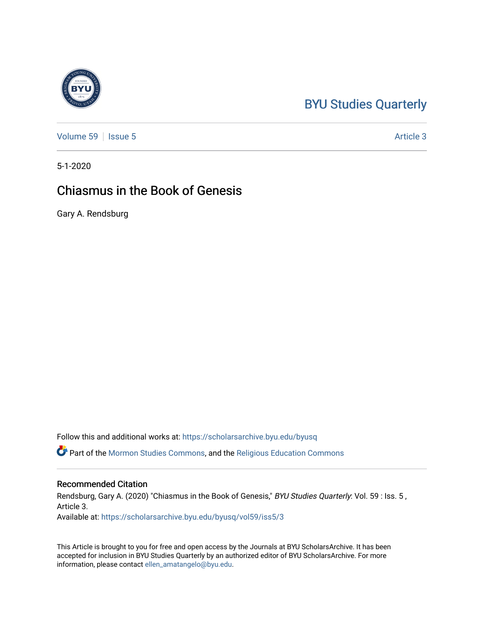# [BYU Studies Quarterly](https://scholarsarchive.byu.edu/byusq)

[Volume 59](https://scholarsarchive.byu.edu/byusq/vol59) | [Issue 5](https://scholarsarchive.byu.edu/byusq/vol59/iss5) Article 3

5-1-2020

# Chiasmus in the Book of Genesis

Gary A. Rendsburg

Follow this and additional works at: [https://scholarsarchive.byu.edu/byusq](https://scholarsarchive.byu.edu/byusq?utm_source=scholarsarchive.byu.edu%2Fbyusq%2Fvol59%2Fiss5%2F3&utm_medium=PDF&utm_campaign=PDFCoverPages) 

Part of the [Mormon Studies Commons](http://network.bepress.com/hgg/discipline/1360?utm_source=scholarsarchive.byu.edu%2Fbyusq%2Fvol59%2Fiss5%2F3&utm_medium=PDF&utm_campaign=PDFCoverPages), and the [Religious Education Commons](http://network.bepress.com/hgg/discipline/1414?utm_source=scholarsarchive.byu.edu%2Fbyusq%2Fvol59%2Fiss5%2F3&utm_medium=PDF&utm_campaign=PDFCoverPages) 

### Recommended Citation

Rendsburg, Gary A. (2020) "Chiasmus in the Book of Genesis," BYU Studies Quarterly: Vol. 59 : Iss. 5, Article 3. Available at: [https://scholarsarchive.byu.edu/byusq/vol59/iss5/3](https://scholarsarchive.byu.edu/byusq/vol59/iss5/3?utm_source=scholarsarchive.byu.edu%2Fbyusq%2Fvol59%2Fiss5%2F3&utm_medium=PDF&utm_campaign=PDFCoverPages)

This Article is brought to you for free and open access by the Journals at BYU ScholarsArchive. It has been accepted for inclusion in BYU Studies Quarterly by an authorized editor of BYU ScholarsArchive. For more information, please contact [ellen\\_amatangelo@byu.edu.](mailto:ellen_amatangelo@byu.edu)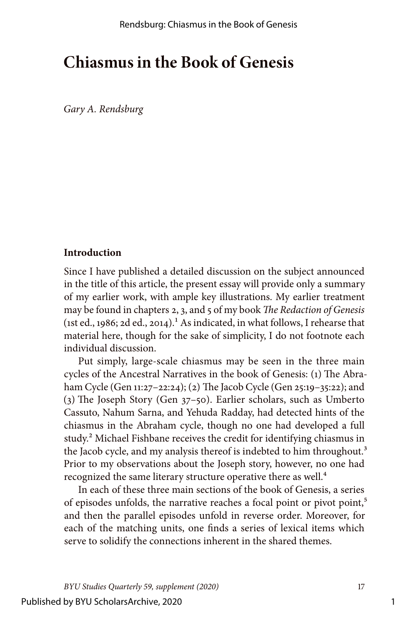# **Chiasmus in the Book of Genesis**

*Gary A. Rendsburg*

#### **Introduction**

Since I have published a detailed discussion on the subject announced in the title of this article, the present essay will provide only a summary of my earlier work, with ample key illustrations. My earlier treatment may be found in chapters 2, 3, and 5 of my book *The Redaction of Genesis*  (1st ed., 1986; 2d ed., 2014).<sup>1</sup> As indicated, in what follows, I rehearse that material here, though for the sake of simplicity, I do not footnote each individual discussion.

Put simply, large-scale chiasmus may be seen in the three main cycles of the Ancestral Narratives in the book of Genesis: (1) The Abraham Cycle (Gen 11:27–22:24); (2) The Jacob Cycle (Gen 25:19–35:22); and (3) The Joseph Story (Gen 37–50). Earlier scholars, such as Umberto Cassuto, Nahum Sarna, and Yehuda Radday, had detected hints of the chiasmus in the Abraham cycle, though no one had developed a full study.2 Michael Fishbane receives the credit for identifying chiasmus in the Jacob cycle, and my analysis thereof is indebted to him throughout.<sup>3</sup> Prior to my observations about the Joseph story, however, no one had recognized the same literary structure operative there as well.<sup>4</sup>

In each of these three main sections of the book of Genesis, a series of episodes unfolds, the narrative reaches a focal point or pivot point,<sup>5</sup> and then the parallel episodes unfold in reverse order. Moreover, for each of the matching units, one finds a series of lexical items which serve to solidify the connections inherent in the shared themes.

1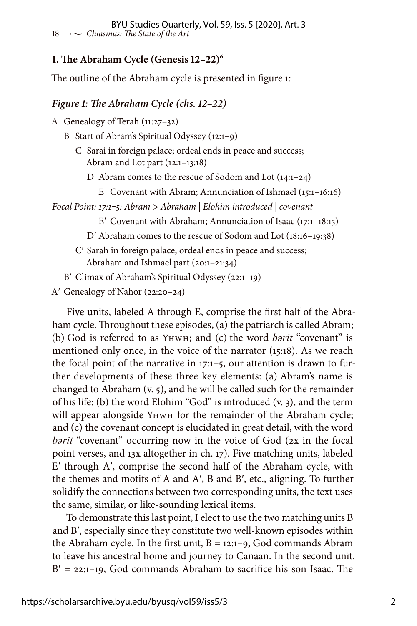## **I. The Abraham Cycle (Genesis 12–22)6**

The outline of the Abraham cycle is presented in figure 1:

#### *Figure 1: The Abraham Cycle (chs. 12–22)*

A Genealogy of Terah (11:27–32)

- B Start of Abram's Spiritual Odyssey (12:1–9)
	- C Sarai in foreign palace; ordeal ends in peace and success; Abram and Lot part (12:1–13:18)
		- D Abram comes to the rescue of Sodom and Lot (14:1–24)
			- E Covenant with Abram; Annunciation of Ishmael (15:1–16:16)

*Focal Point: 17:1‒5: Abram > Abraham | Elohim introduced | covenant*

E′ Covenant with Abraham; Annunciation of Isaac (17:1–18:15)

- D′ Abraham comes to the rescue of Sodom and Lot (18:16–19:38)
- C′ Sarah in foreign palace; ordeal ends in peace and success; Abraham and Ishmael part (20:1–21:34)
- B′ Climax of Abraham's Spiritual Odyssey (22:1–19)

```
A′ Genealogy of Nahor (22:20–24)
```
Five units, labeled A through E, comprise the first half of the Abraham cycle. Throughout these episodes, (a) the patriarch is called Abram; (b) God is referred to as Yhwh; and (c) the word *bərit* "covenant" is mentioned only once, in the voice of the narrator (15:18). As we reach the focal point of the narrative in 17:1–5, our attention is drawn to further developments of these three key elements: (a) Abram's name is changed to Abraham (v. 5), and he will be called such for the remainder of his life; (b) the word Elohim "God" is introduced (v. 3), and the term will appear alongside Yhwh for the remainder of the Abraham cycle; and (c) the covenant concept is elucidated in great detail, with the word *barit* "covenant" occurring now in the voice of God (2x in the focal point verses, and 13x altogether in ch. 17). Five matching units, labeled E′ through A′, comprise the second half of the Abraham cycle, with the themes and motifs of A and A′, B and B′, etc., aligning. To further solidify the connections between two corresponding units, the text uses the same, similar, or like-sounding lexical items.

To demonstrate this last point, I elect to use the two matching units B and B′, especially since they constitute two well-known episodes within the Abraham cycle. In the first unit,  $B = 12:1-9$ , God commands Abram to leave his ancestral home and journey to Canaan. In the second unit,  $B' = 22:1-19$ , God commands Abraham to sacrifice his son Isaac. The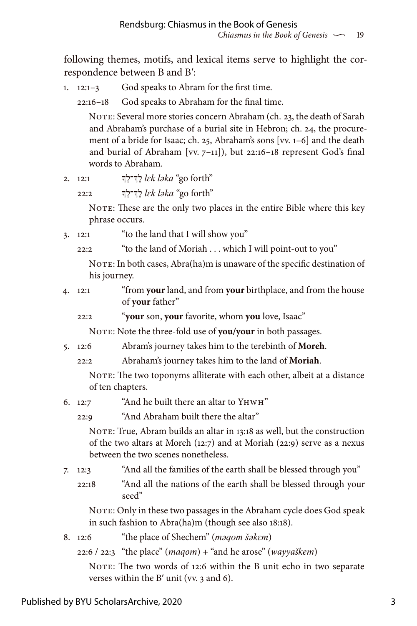following themes, motifs, and lexical items serve to highlight the correspondence between B and B′:

1. 12:1–3 God speaks to Abram for the first time.

22:16–18 God speaks to Abraham for the final time.

NOTE: Several more stories concern Abraham (ch. 23, the death of Sarah and Abraham's purchase of a burial site in Hebron; ch. 24, the procurement of a bride for Isaac; ch. 25, Abraham's sons [vv. 1–6] and the death and burial of Abraham [vv. 7–11]), but 22:16–18 represent God's final words to Abraham.

2. 12:1 ךְָך־לְֶל *lɛk ləka* "go forth"

22:2 ךְָך־לְֶל *lɛk ləka* "go forth"

NOTE: These are the only two places in the entire Bible where this key phrase occurs.

3. 12:1 "to the land that I will show you"

22:2 "to the land of Moriah . . . which I will point-out to you"

NOTE: In both cases, Abra(ha)m is unaware of the specific destination of his journey.

- 4. 12:1 "from **your** land, and from **your** birthplace, and from the house of **your** father"
	- 22:2 "**your** son, **your** favorite, whom **you** love, Isaac"

NOTE: Note the three-fold use of **you/your** in both passages.

- 5. 12:6 Abram's journey takes him to the terebinth of **Moreh**.
	- 22:2 Abraham's journey takes him to the land of **Moriah**.

NOTE: The two toponyms alliterate with each other, albeit at a distance of ten chapters.

6. 12:7 "And he built there an altar to Yhwh"

22:9 "And Abraham built there the altar"

NOTE: True, Abram builds an altar in 13:18 as well, but the construction of the two altars at Moreh (12:7) and at Moriah (22:9) serve as a nexus between the two scenes nonetheless.

- 7. 12:3 "And all the families of the earth shall be blessed through you"
	- 22:18 "And all the nations of the earth shall be blessed through your seed"

NOTE: Only in these two passages in the Abraham cycle does God speak in such fashion to Abra(ha)m (though see also 18:18).

- 8. 12:6 "the place of Shechem" (*məqom šəkɛm*)
	- 22:6 / 22:3 "the place" (*maqom*) + "and he arose" (*wayyaškem*)

NOTE: The two words of 12:6 within the B unit echo in two separate verses within the B′ unit (vv. 3 and 6).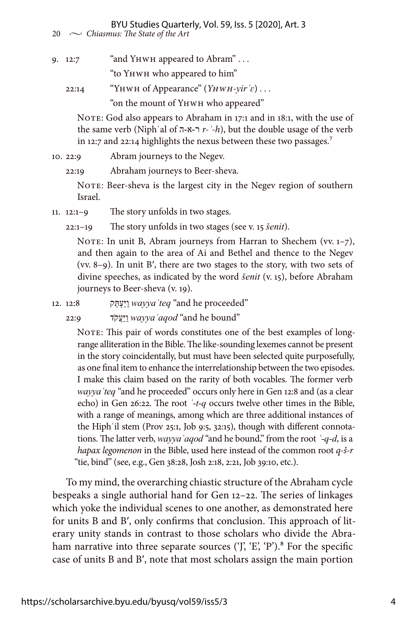BYU Studies Quarterly, Vol. 59, Iss. 5 [2020], Art. 3

20  $\sim$  *Chiasmus: The State of the Art* 

9. 12:7 "and YHWH appeared to Abram" . . .

"to Yhwh who appeared to him"

22:14 "Yhwh of Appearance" (*Yhwh-yirʾɛ*) . . .

"on the mount of Yhwh who appeared"

NOTE: God also appears to Abraham in 17:1 and in 18:1, with the use of the same verb (Niph  $\alpha$  al of  $\pi$ - $\alpha$ - $\gamma$  *r-* $\alpha$ <sup>-</sup> $\alpha$ ), but the double usage of the verb in 12:7 and 22:14 highlights the nexus between these two passages.<sup>7</sup>

10. 22:9 Abram journeys to the Negev.

22:19 Abraham journeys to Beer-sheva.

NOTE: Beer-sheva is the largest city in the Negev region of southern Israel.

11. 12:1–9 The story unfolds in two stages.

22:1–19 The story unfolds in two stages (see v. 15 *šenit*).

NOTE: In unit B, Abram journeys from Harran to Shechem (vv. 1-7), and then again to the area of Ai and Bethel and thence to the Negev (vv. 8–9). In unit B′, there are two stages to the story, with two sets of divine speeches, as indicated by the word *šenit* (v. 15), before Abraham journeys to Beer-sheva (v. 19).

"proceeded he and "*wayyaʿteq* וַּיַעְּתֵק 12:8 12.

"bound he and "*wayyaʿaqod* וַּיַעֲקֹד 22:9

NOTE: This pair of words constitutes one of the best examples of longrange alliteration in the Bible. The like-sounding lexemes cannot be present in the story coincidentally, but must have been selected quite purposefully, as one final item to enhance the interrelationship between the two episodes. I make this claim based on the rarity of both vocables. The former verb *wayyaʿteq* "and he proceeded" occurs only here in Gen 12:8 and (as a clear echo) in Gen 26:22. The root *ʿ-t-q* occurs twelve other times in the Bible, with a range of meanings, among which are three additional instances of the Hiphʿil stem (Prov 25:1, Job 9:5, 32:15), though with different connotations. The latter verb, *wayyaʿaqod* "and he bound," from the root *ʿ-q-d*, is a *hapax legomenon* in the Bible, used here instead of the common root *q-š-r* "tie, bind" (see, e.g., Gen 38:28, Josh 2:18, 2:21, Job 39:10, etc.).

To my mind, the overarching chiastic structure of the Abraham cycle bespeaks a single authorial hand for Gen 12–22. The series of linkages which yoke the individual scenes to one another, as demonstrated here for units B and B′, only confirms that conclusion. This approach of literary unity stands in contrast to those scholars who divide the Abraham narrative into three separate sources ('J', 'E', 'P').<sup>8</sup> For the specific case of units B and B′, note that most scholars assign the main portion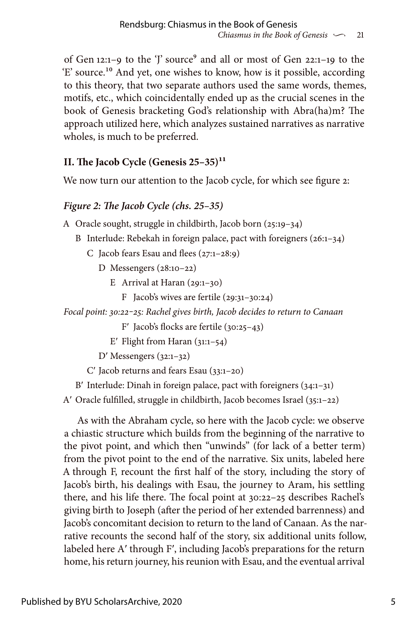of Gen 12:1-9 to the 'J' source<sup>9</sup> and all or most of Gen 22:1-19 to the 'E' source.10 And yet, one wishes to know, how is it possible, according to this theory, that two separate authors used the same words, themes, motifs, etc., which coincidentally ended up as the crucial scenes in the book of Genesis bracketing God's relationship with Abra(ha)m? The approach utilized here, which analyzes sustained narratives as narrative wholes, is much to be preferred.

# **II. The Jacob Cycle (Genesis 25–35)11**

We now turn our attention to the Jacob cycle, for which see figure 2:

# *Figure 2: The Jacob Cycle (chs. 25–35)*

A Oracle sought, struggle in childbirth, Jacob born (25:19–34)

- B Interlude: Rebekah in foreign palace, pact with foreigners (26:1–34)
	- C Jacob fears Esau and flees (27:1–28:9)
		- D Messengers (28:10–22)
			- E Arrival at Haran  $(29:1-30)$ 
				- F Jacob's wives are fertile (29:31–30:24)

*Focal point: 30:22‒25: Rachel gives birth, Jacob decides to return to Canaan*

- F′ Jacob's flocks are fertile (30:25–43)
- E' Flight from Haran  $(31:1-54)$

D′ Messengers (32:1–32)

C′ Jacob returns and fears Esau (33:1–20)

B′ Interlude: Dinah in foreign palace, pact with foreigners (34:1–31)

A′ Oracle fulfilled, struggle in childbirth, Jacob becomes Israel (35:1–22)

As with the Abraham cycle, so here with the Jacob cycle: we observe a chiastic structure which builds from the beginning of the narrative to the pivot point, and which then "unwinds" (for lack of a better term) from the pivot point to the end of the narrative. Six units, labeled here A through F, recount the first half of the story, including the story of Jacob's birth, his dealings with Esau, the journey to Aram, his settling there, and his life there. The focal point at 30:22–25 describes Rachel's giving birth to Joseph (after the period of her extended barrenness) and Jacob's concomitant decision to return to the land of Canaan. As the narrative recounts the second half of the story, six additional units follow, labeled here A′ through F′, including Jacob's preparations for the return home, his return journey, his reunion with Esau, and the eventual arrival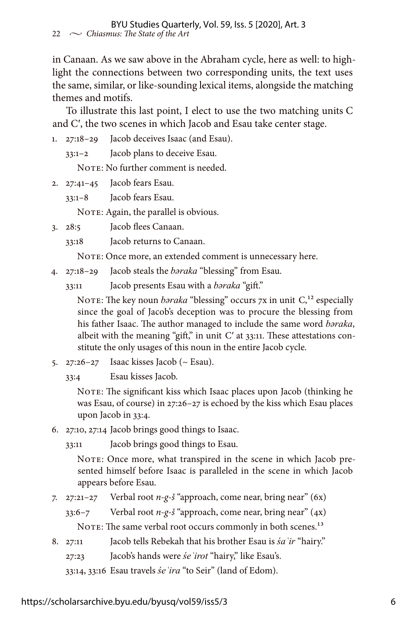in Canaan. As we saw above in the Abraham cycle, here as well: to highlight the connections between two corresponding units, the text uses the same, similar, or like-sounding lexical items, alongside the matching themes and motifs.

To illustrate this last point, I elect to use the two matching units C and C′, the two scenes in which Jacob and Esau take center stage.

- 1. 27:18–29 Jacob deceives Isaac (and Esau).
	- 33:1–2 Jacob plans to deceive Esau.

NOTE: No further comment is needed.

2. 27:41–45 Jacob fears Esau.

33:1–8 Jacob fears Esau.

NOTE: Again, the parallel is obvious.

3. 28:5 Jacob flees Canaan.

33:18 Jacob returns to Canaan.

NOTE: Once more, an extended comment is unnecessary here.

4. 27:18–29 Jacob steals the *bəraka* "blessing" from Esau.

33:11 Jacob presents Esau with a *bəraka* "gift."

NOTE: The key noun *baraka* "blessing" occurs 7x in unit C,<sup>12</sup> especially since the goal of Jacob's deception was to procure the blessing from his father Isaac. The author managed to include the same word *bəraka*, albeit with the meaning "gift," in unit  $C'$  at  $33:11$ . These attestations constitute the only usages of this noun in the entire Jacob cycle.

5.  $27:26-27$  Isaac kisses Jacob ( $\sim$  Esau).

33:4 Esau kisses Jacob.

NOTE: The significant kiss which Isaac places upon Jacob (thinking he was Esau, of course) in 27:26–27 is echoed by the kiss which Esau places upon Jacob in 33:4.

6. 27:10, 27:14 Jacob brings good things to Isaac.

33:11 Jacob brings good things to Esau.

NOTE: Once more, what transpired in the scene in which Jacob presented himself before Isaac is paralleled in the scene in which Jacob appears before Esau.

7. 27:21–27 Verbal root *n-g-š* "approach, come near, bring near" (6x)

33:6–7 Verbal root *n-g-š* "approach, come near, bring near" (4x)

NOTE: The same verbal root occurs commonly in both scenes.<sup>13</sup>

- 8. 27:11 Jacob tells Rebekah that his brother Esau is *śaʿir* "hairy."
	- 27:23 Jacob's hands were *śeʿirot* "hairy," like Esau's.

33:14, 33:16 Esau travels *śeʿira* "to Seir" (land of Edom).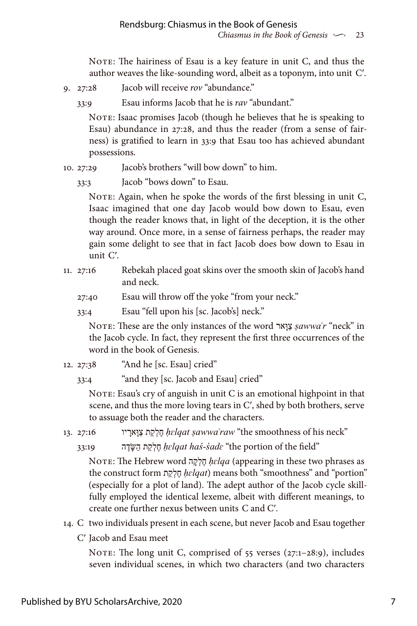NOTE: The hairiness of Esau is a key feature in unit C, and thus the author weaves the like-sounding word, albeit as a toponym, into unit C′.

9. 27:28 Jacob will receive *rov* "abundance."

33:9 Esau informs Jacob that he is *rav* "abundant."

NOTE: Isaac promises Jacob (though he believes that he is speaking to Esau) abundance in 27:28, and thus the reader (from a sense of fairness) is gratified to learn in 33:9 that Esau too has achieved abundant possessions.

- 10. 27:29 Jacob's brothers "will bow down" to him.
	- 33:3 Jacob "bows down" to Esau.

NOTE: Again, when he spoke the words of the first blessing in unit C, Isaac imagined that one day Jacob would bow down to Esau, even though the reader knows that, in light of the deception, it is the other way around. Once more, in a sense of fairness perhaps, the reader may gain some delight to see that in fact Jacob does bow down to Esau in unit C′.

- 11. 27:16 Rebekah placed goat skins over the smooth skin of Jacob's hand and neck.
	- 27:40 Esau will throw off the yoke "from your neck."
	- 33:4 Esau "fell upon his [sc. Jacob's] neck."

Note: These are the only instances of the word ארָוַּצ *ṣawwaʾr* "neck" in the Jacob cycle. In fact, they represent the first three occurrences of the word in the book of Genesis.

- 12. 27:38 "And he [sc. Esau] cried"
	- 33:4 "and they [sc. Jacob and Esau] cried"

NOTE: Esau's cry of anguish in unit  $C$  is an emotional highpoint in that scene, and thus the more loving tears in C′, shed by both brothers, serve to assuage both the reader and the characters.

"neck his of smoothness the "*ṣawwaʾraw ḥɛlqat* חֶלְקַת צַּוָארָ יו 27:16 13.

"field the of portion the "*śadɛ-haś ḥɛlqat* חֶלְקַת הַּׂשָדֶה 33:19

Note: The Hebrew word הָקְלֶח *ḥɛlqa* (appearing in these two phrases as the construct form תַקְלֶח *ḥɛlqat*) means both "smoothness" and "portion" (especially for a plot of land). The adept author of the Jacob cycle skillfully employed the identical lexeme, albeit with different meanings, to create one further nexus between units C and C′.

- 14. C two individuals present in each scene, but never Jacob and Esau together
	- C′ Jacob and Esau meet

NOTE: The long unit C, comprised of  $55$  verses  $(27:1-28:9)$ , includes seven individual scenes, in which two characters (and two characters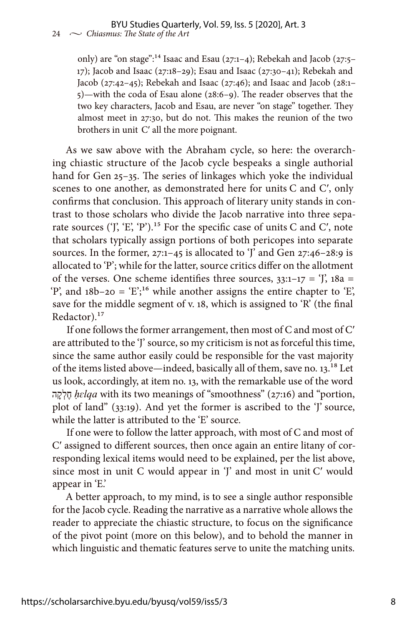only) are "on stage":14 Isaac and Esau (27:1–4); Rebekah and Jacob (27:5– 17); Jacob and Isaac (27:18–29); Esau and Isaac (27:30–41); Rebekah and Jacob (27:42–45); Rebekah and Isaac (27:46); and Isaac and Jacob (28:1– 5)—with the coda of Esau alone (28:6–9). The reader observes that the two key characters, Jacob and Esau, are never "on stage" together. They almost meet in 27:30, but do not. This makes the reunion of the two brothers in unit C′ all the more poignant.

As we saw above with the Abraham cycle, so here: the overarching chiastic structure of the Jacob cycle bespeaks a single authorial hand for Gen 25-35. The series of linkages which yoke the individual scenes to one another, as demonstrated here for units C and C′, only confirms that conclusion. This approach of literary unity stands in contrast to those scholars who divide the Jacob narrative into three separate sources ('J', 'E', 'P').<sup>15</sup> For the specific case of units C and C', note that scholars typically assign portions of both pericopes into separate sources. In the former, 27:1–45 is allocated to 'J' and Gen 27:46–28:9 is allocated to 'P'; while for the latter, source critics differ on the allotment of the verses. One scheme identifies three sources,  $33:1-17 = '$ ,  $18a =$ 'P', and  $18b-20 = 'E';^{16}$  while another assigns the entire chapter to 'E', save for the middle segment of v. 18, which is assigned to 'R' (the final Redactor).<sup>17</sup>

If one follows the former arrangement, then most of C and most of C′ are attributed to the 'J' source, so my criticism is not as forceful this time, since the same author easily could be responsible for the vast majority of the items listed above—indeed, basically all of them, save no. 13.18 Let us look, accordingly, at item no. 13, with the remarkable use of the word הָקְלֶח *ḥɛlqa* with its two meanings of "smoothness" (27:16) and "portion, plot of land" (33:19). And yet the former is ascribed to the 'J' source, while the latter is attributed to the 'E' source.

If one were to follow the latter approach, with most of C and most of C′ assigned to different sources, then once again an entire litany of corresponding lexical items would need to be explained, per the list above, since most in unit C would appear in 'J' and most in unit C' would appear in 'E.'

A better approach, to my mind, is to see a single author responsible for the Jacob cycle. Reading the narrative as a narrative whole allows the reader to appreciate the chiastic structure, to focus on the significance of the pivot point (more on this below), and to behold the manner in which linguistic and thematic features serve to unite the matching units.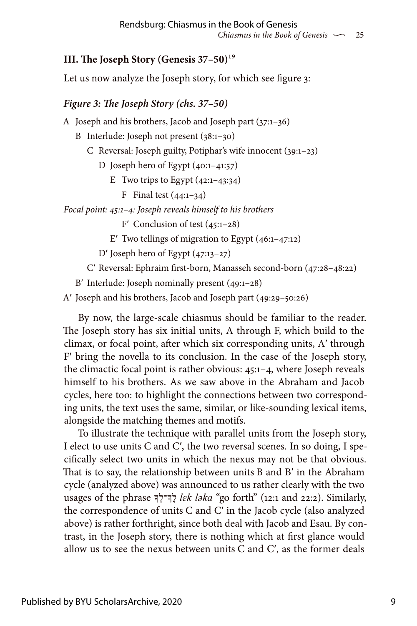## **III. The Joseph Story (Genesis 37–50)**19

Let us now analyze the Joseph story, for which see figure 3:

### *Figure 3: The Joseph Story (chs. 37–50)*

A Joseph and his brothers, Jacob and Joseph part (37:1–36)

- B Interlude: Joseph not present (38:1–30)
	- C Reversal: Joseph guilty, Potiphar's wife innocent (39:1–23)

D Joseph hero of Egypt (40:1–41:57)

- E Two trips to Egypt  $(42:1-43:34)$ 
	- **F** Final test  $(44:1-34)$

*Focal point: 45:1–4: Joseph reveals himself to his brothers*

F′ Conclusion of test (45:1–28)

E' Two tellings of migration to Egypt  $(46:1-47:12)$ 

D′ Joseph hero of Egypt (47:13–27)

C′ Reversal: Ephraim first-born, Manasseh second-born (47:28–48:22)

B′ Interlude: Joseph nominally present (49:1–28)

A′ Joseph and his brothers, Jacob and Joseph part (49:29–50:26)

By now, the large-scale chiasmus should be familiar to the reader. The Joseph story has six initial units, A through F, which build to the climax, or focal point, after which six corresponding units, A′ through F′ bring the novella to its conclusion. In the case of the Joseph story, the climactic focal point is rather obvious: 45:1–4, where Joseph reveals himself to his brothers. As we saw above in the Abraham and Jacob cycles, here too: to highlight the connections between two corresponding units, the text uses the same, similar, or like-sounding lexical items, alongside the matching themes and motifs.

To illustrate the technique with parallel units from the Joseph story, I elect to use units C and C′, the two reversal scenes. In so doing, I specifically select two units in which the nexus may not be that obvious. That is to say, the relationship between units B and B′ in the Abraham cycle (analyzed above) was announced to us rather clearly with the two usages of the phrase ךְָך־לְֶל *lɛk ləka* "go forth" (12:1 and 22:2). Similarly, the correspondence of units C and C′ in the Jacob cycle (also analyzed above) is rather forthright, since both deal with Jacob and Esau. By contrast, in the Joseph story, there is nothing which at first glance would allow us to see the nexus between units  $C$  and  $C'$ , as the former deals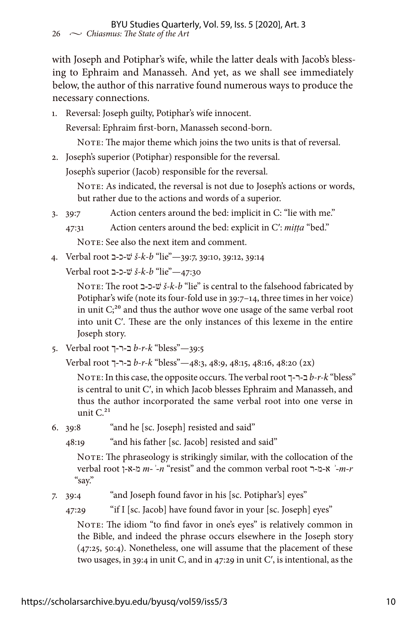with Joseph and Potiphar's wife, while the latter deals with Jacob's blessing to Ephraim and Manasseh. And yet, as we shall see immediately below, the author of this narrative found numerous ways to produce the necessary connections.

1. Reversal: Joseph guilty, Potiphar's wife innocent.

Reversal: Ephraim first-born, Manasseh second-born.

NOTE: The major theme which joins the two units is that of reversal.

2. Joseph's superior (Potiphar) responsible for the reversal.

Joseph's superior (Jacob) responsible for the reversal.

NOTE: As indicated, the reversal is not due to Joseph's actions or words, but rather due to the actions and words of a superior.

3. 39:7 Action centers around the bed: implicit in C: "lie with me."

47:31 Action centers around the bed: explicit in C′: *miṭṭa* "bed."

NOTE: See also the next item and comment.

- 4. Verbal root ב-כ-שׁ *š-k-b* "lie"—39:7, 39:10, 39:12, 39:14
	- Verbal root ב-כ-שׁ *š-k-b* "lie"—47:30

 Note: The root ב-כ-שׁ *š-k-b* "lie" is central to the falsehood fabricated by Potiphar's wife (note its four-fold use in 39:7–14, three times in her voice) in unit  $C<sub>i</sub><sup>20</sup>$  and thus the author wove one usage of the same verbal root into unit C′. These are the only instances of this lexeme in the entire Joseph story.

5. Verbal root ך-ר-ב *b-r-k* "bless"—39:5

Verbal root ך-ר-ב *b-r-k* "bless"—48:3, 48:9, 48:15, 48:16, 48:20 (2x)

 Note: In this case, the opposite occurs. The verbal root ך-ר-ב *b-r-k* "bless" is central to unit C′, in which Jacob blesses Ephraim and Manasseh, and thus the author incorporated the same verbal root into one verse in unit  $C^{21}$ 

6. 39:8 "and he [sc. Joseph] resisted and said"

48:19 "and his father [sc. Jacob] resisted and said"

NOTE: The phraseology is strikingly similar, with the collocation of the verbal root ן-א-מ *m-ʾ-n* "resist" and the common verbal root ר-מ-א *ʾ-m-r* "say."

7. 39:4 "and Joseph found favor in his [sc. Potiphar's] eyes"

47:29 "if I [sc. Jacob] have found favor in your [sc. Joseph] eyes"

NOTE: The idiom "to find favor in one's eyes" is relatively common in the Bible, and indeed the phrase occurs elsewhere in the Joseph story (47:25, 50:4). Nonetheless, one will assume that the placement of these two usages, in 39:4 in unit C, and in 47:29 in unit C′, is intentional, as the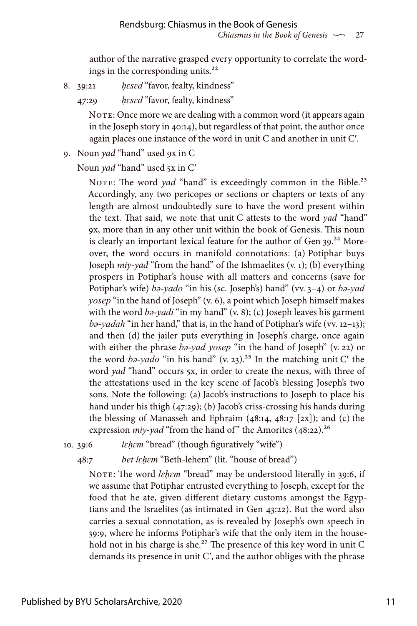author of the narrative grasped every opportunity to correlate the wordings in the corresponding units.<sup>22</sup>

- 8. 39:21 *ḥɛsɛd* "favor, fealty, kindness"
	- 47:29 *ḥɛsɛd* "favor, fealty, kindness"

NOTE: Once more we are dealing with a common word (it appears again in the Joseph story in 40:14), but regardless of that point, the author once again places one instance of the word in unit C and another in unit C′.

9. Noun *yad* "hand" used 9x in C

Noun *yad* "hand" used 5x in C'

NOTE: The word *yad* "hand" is exceedingly common in the Bible.<sup>23</sup> Accordingly, any two pericopes or sections or chapters or texts of any length are almost undoubtedly sure to have the word present within the text. That said, we note that unit C attests to the word *yad* "hand" 9x, more than in any other unit within the book of Genesis. This noun is clearly an important lexical feature for the author of Gen  $39.^{24}$  Moreover, the word occurs in manifold connotations: (a) Potiphar buys Joseph *miy-yad* "from the hand" of the Ishmaelites (v. 1); (b) everything prospers in Potiphar's house with all matters and concerns (save for Potiphar's wife) *bə-yado* "in his (sc. Joseph's) hand" (vv. 3–4) or *bə-yad yosep* "in the hand of Joseph" (v. 6), a point which Joseph himself makes with the word *bə-yadi* "in my hand" (v. 8); (c) Joseph leaves his garment *bə-yadah* "in her hand," that is, in the hand of Potiphar's wife (vv. 12–13); and then (d) the jailer puts everything in Joseph's charge, once again with either the phrase *bə-yad yosep* "in the hand of Joseph" (v. 22) or the word  $b^2$ -yado "in his hand" (v. 23).<sup>25</sup> In the matching unit C' the word *yad* "hand" occurs 5x, in order to create the nexus, with three of the attestations used in the key scene of Jacob's blessing Joseph's two sons. Note the following: (a) Jacob's instructions to Joseph to place his hand under his thigh (47:29); (b) Jacob's criss-crossing his hands during the blessing of Manasseh and Ephraim  $(48:14, 48:17 [2x])$ ; and (c) the expression *miy-yad* "from the hand of" the Amorites (48:22).<sup>26</sup>

10. 39:6 *lɛḥɛm* "bread" (though figuratively "wife")

48:7 *bet lɛḥɛm* "Beth-lehem" (lit. "house of bread")

NOTE: The word *lehem* "bread" may be understood literally in 39:6, if we assume that Potiphar entrusted everything to Joseph, except for the food that he ate, given different dietary customs amongst the Egyptians and the Israelites (as intimated in Gen 43:22). But the word also carries a sexual connotation, as is revealed by Joseph's own speech in 39:9, where he informs Potiphar's wife that the only item in the household not in his charge is she.<sup>27</sup> The presence of this key word in unit C demands its presence in unit C′, and the author obliges with the phrase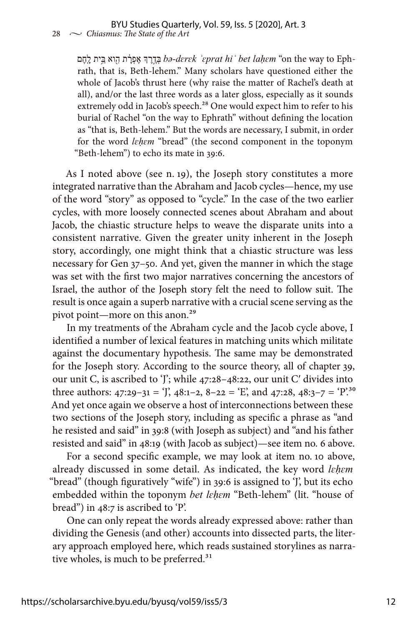םֶחֽ ָל ביתּ וא ֵ֥ ִ֖ה ת ָ֔רְפֶא ךְ ֶר ֶ֣דְבּ *bə-dɛrɛk ʾɛprat hiʾ bet laḥɛm* "on the way to Ephrath, that is, Beth-lehem." Many scholars have questioned either the whole of Jacob's thrust here (why raise the matter of Rachel's death at all), and/or the last three words as a later gloss, especially as it sounds extremely odd in Jacob's speech.<sup>28</sup> One would expect him to refer to his burial of Rachel "on the way to Ephrath" without defining the location as "that is, Beth-lehem." But the words are necessary, I submit, in order for the word *lɛḥɛm* "bread" (the second component in the toponym "Beth-lehem") to echo its mate in 39:6.

As I noted above (see n. 19), the Joseph story constitutes a more integrated narrative than the Abraham and Jacob cycles—hence, my use of the word "story" as opposed to "cycle." In the case of the two earlier cycles, with more loosely connected scenes about Abraham and about Jacob, the chiastic structure helps to weave the disparate units into a consistent narrative. Given the greater unity inherent in the Joseph story, accordingly, one might think that a chiastic structure was less necessary for Gen 37–50. And yet, given the manner in which the stage was set with the first two major narratives concerning the ancestors of Israel, the author of the Joseph story felt the need to follow suit. The result is once again a superb narrative with a crucial scene serving as the pivot point—more on this anon.<sup>29</sup>

In my treatments of the Abraham cycle and the Jacob cycle above, I identified a number of lexical features in matching units which militate against the documentary hypothesis. The same may be demonstrated for the Joseph story. According to the source theory, all of chapter 39, our unit C, is ascribed to 'J'; while 47:28–48:22, our unit C′ divides into three authors:  $47:29-31 = '$ ,  $48:1-2$ ,  $8-22 = 'E'$ , and  $47:28$ ,  $48:3-7 = 'P'$ .<sup>30</sup> And yet once again we observe a host of interconnections between these two sections of the Joseph story, including as specific a phrase as "and he resisted and said" in 39:8 (with Joseph as subject) and "and his father resisted and said" in 48:19 (with Jacob as subject)—see item no. 6 above.

For a second specific example, we may look at item no. 10 above, already discussed in some detail. As indicated, the key word *lɛḥɛm* "bread" (though figuratively "wife") in 39:6 is assigned to 'J', but its echo embedded within the toponym *bet lɛḥɛm* "Beth-lehem" (lit. "house of bread") in 48:7 is ascribed to 'P'.

One can only repeat the words already expressed above: rather than dividing the Genesis (and other) accounts into dissected parts, the literary approach employed here, which reads sustained storylines as narrative wholes, is much to be preferred.<sup>31</sup>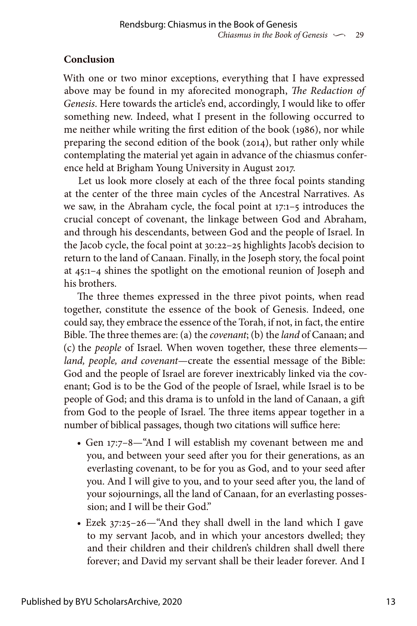# **Conclusion**

With one or two minor exceptions, everything that I have expressed above may be found in my aforecited monograph, *The Redaction of Genesis*. Here towards the article's end, accordingly, I would like to offer something new. Indeed, what I present in the following occurred to me neither while writing the first edition of the book (1986), nor while preparing the second edition of the book (2014), but rather only while contemplating the material yet again in advance of the chiasmus conference held at Brigham Young University in August 2017.

Let us look more closely at each of the three focal points standing at the center of the three main cycles of the Ancestral Narratives. As we saw, in the Abraham cycle, the focal point at 17:1–5 introduces the crucial concept of covenant, the linkage between God and Abraham, and through his descendants, between God and the people of Israel. In the Jacob cycle, the focal point at 30:22–25 highlights Jacob's decision to return to the land of Canaan. Finally, in the Joseph story, the focal point at 45:1–4 shines the spotlight on the emotional reunion of Joseph and his brothers.

The three themes expressed in the three pivot points, when read together, constitute the essence of the book of Genesis. Indeed, one could say, they embrace the essence of the Torah, if not, in fact, the entire Bible. The three themes are: (a) the *covenant*; (b) the *land* of Canaan; and (c) the *people* of Israel. When woven together, these three elements *land, people, and covenant*—create the essential message of the Bible: God and the people of Israel are forever inextricably linked via the covenant; God is to be the God of the people of Israel, while Israel is to be people of God; and this drama is to unfold in the land of Canaan, a gift from God to the people of Israel. The three items appear together in a number of biblical passages, though two citations will suffice here:

- Gen 17:7–8—"And I will establish my covenant between me and you, and between your seed after you for their generations, as an everlasting covenant, to be for you as God, and to your seed after you. And I will give to you, and to your seed after you, the land of your sojournings, all the land of Canaan, for an everlasting possession; and I will be their God."
- Ezek 37:25–26—"And they shall dwell in the land which I gave to my servant Jacob, and in which your ancestors dwelled; they and their children and their children's children shall dwell there forever; and David my servant shall be their leader forever. And I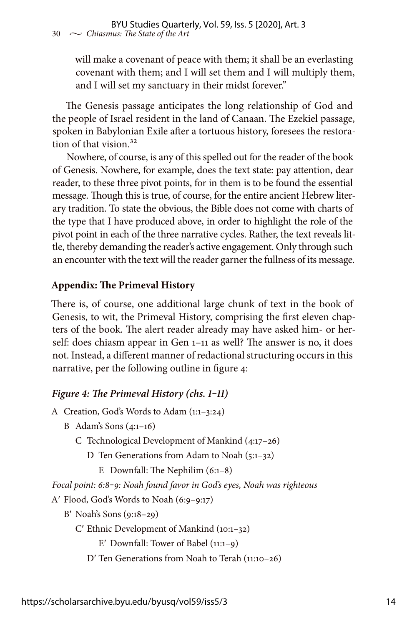will make a covenant of peace with them; it shall be an everlasting covenant with them; and I will set them and I will multiply them, and I will set my sanctuary in their midst forever."

The Genesis passage anticipates the long relationship of God and the people of Israel resident in the land of Canaan. The Ezekiel passage, spoken in Babylonian Exile after a tortuous history, foresees the restoration of that vision.<sup>32</sup>

Nowhere, of course, is any of this spelled out for the reader of the book of Genesis. Nowhere, for example, does the text state: pay attention, dear reader, to these three pivot points, for in them is to be found the essential message. Though this is true, of course, for the entire ancient Hebrew literary tradition. To state the obvious, the Bible does not come with charts of the type that I have produced above, in order to highlight the role of the pivot point in each of the three narrative cycles. Rather, the text reveals little, thereby demanding the reader's active engagement. Only through such an encounter with the text will the reader garner the fullness of its message.

## **Appendix: The Primeval History**

There is, of course, one additional large chunk of text in the book of Genesis, to wit, the Primeval History, comprising the first eleven chapters of the book. The alert reader already may have asked him- or herself: does chiasm appear in Gen 1–11 as well? The answer is no, it does not. Instead, a different manner of redactional structuring occurs in this narrative, per the following outline in figure 4:

### *Figure 4: The Primeval History (chs. 1‒11)*

```
A Creation, God's Words to Adam (1:1–3:24)
```

```
B Adam's Sons (4:1–16)
```

```
C Technological Development of Mankind (4:17–26)
```
D Ten Generations from Adam to Noah (5:1–32)

E Downfall: The Nephilim (6:1–8)

*Focal point: 6:8‒9: Noah found favor in God's eyes, Noah was righteous*

A′ Flood, God's Words to Noah (6:9–9:17)

```
B′ Noah's Sons (9:18–29)
```
C′ Ethnic Development of Mankind (10:1–32)

E′ Downfall: Tower of Babel (11:1–9)

D′ Ten Generations from Noah to Terah (11:10–26)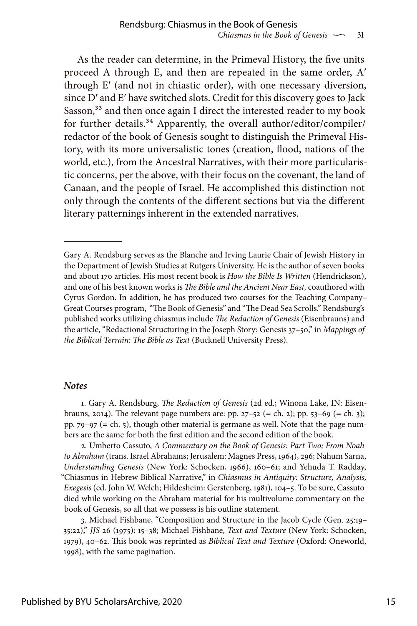As the reader can determine, in the Primeval History, the five units proceed A through E, and then are repeated in the same order, A′ through E′ (and not in chiastic order), with one necessary diversion, since D′ and E′ have switched slots. Credit for this discovery goes to Jack Sasson,<sup>33</sup> and then once again I direct the interested reader to my book for further details.<sup>34</sup> Apparently, the overall author/editor/compiler/ redactor of the book of Genesis sought to distinguish the Primeval History, with its more universalistic tones (creation, flood, nations of the world, etc.), from the Ancestral Narratives, with their more particularistic concerns, per the above, with their focus on the covenant, the land of Canaan, and the people of Israel. He accomplished this distinction not only through the contents of the different sections but via the different literary patternings inherent in the extended narratives.

#### *Notes*

1. Gary A. Rendsburg, *The Redaction of Genesis* (2d ed.; Winona Lake, IN: Eisenbrauns, 2014). The relevant page numbers are: pp. 27-52 (= ch. 2); pp. 53-69 (= ch. 3); pp.  $79-97$  (= ch. 5), though other material is germane as well. Note that the page numbers are the same for both the first edition and the second edition of the book.

2. Umberto Cassuto, *A Commentary on the Book of Genesis: Part Two; From Noah to Abraham* (trans. Israel Abrahams; Jerusalem: Magnes Press, 1964), 296; Nahum Sarna, *Understanding Genesis* (New York: Schocken, 1966), 160–61; and Yehuda T. Radday, "Chiasmus in Hebrew Biblical Narrative," in *Chiasmus in Antiquity: Structure, Analysis, Exegesis* (ed. John W. Welch; Hildesheim: Gerstenberg, 1981), 104–5. To be sure, Cassuto died while working on the Abraham material for his multivolume commentary on the book of Genesis, so all that we possess is his outline statement.

3. Michael Fishbane, "Composition and Structure in the Jacob Cycle (Gen. 25:19– 35:22)," *JJS* 26 (1975): 15–38; Michael Fishbane, *Text and Texture* (New York: Schocken, 1979), 40–62. This book was reprinted as *Biblical Text and Texture* (Oxford: Oneworld, 1998), with the same pagination.

Gary A. Rendsburg serves as the Blanche and Irving Laurie Chair of Jewish History in the Department of Jewish Studies at Rutgers University. He is the author of seven books and about 170 articles. His most recent book is *How the Bible Is Written* (Hendrickson), and one of his best known works is *The Bible and the Ancient Near East,* coauthored with Cyrus Gordon. In addition, he has produced two courses for the Teaching Company– Great Courses program, "The Book of Genesis" and "The Dead Sea Scrolls." Rendsburg's published works utilizing chiasmus include *The Redaction of Genesis* (Eisenbrauns) and the article, "Redactional Structuring in the Joseph Story: Genesis 37–50," in *Mappings of the Biblical Terrain: The Bible as Text* (Bucknell University Press).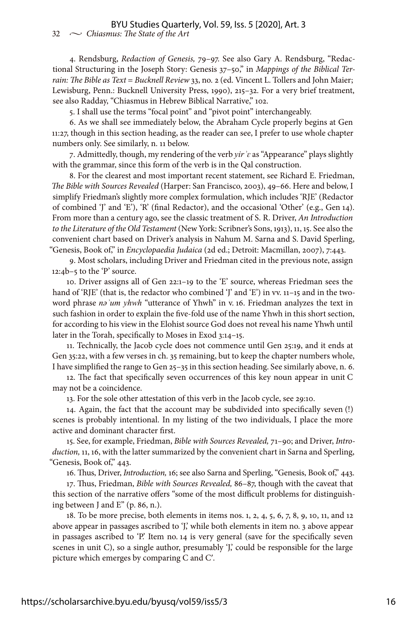#### 32  $\sim$  *Chiasmus: The State of the Art* BYU Studies Quarterly, Vol. 59, Iss. 5 [2020], Art. 3

4. Rendsburg, *Redaction of Genesis,* 79–97. See also Gary A. Rendsburg, "Redactional Structuring in the Joseph Story: Genesis 37–50," in *Mappings of the Biblical Terrain: The Bible as Text* = *Bucknell Review* 33, no. 2 (ed. Vincent L. Tollers and John Maier; Lewisburg, Penn.: Bucknell University Press, 1990), 215–32. For a very brief treatment, see also Radday, "Chiasmus in Hebrew Biblical Narrative," 102.

5. I shall use the terms "focal point" and "pivot point" interchangeably.

6. As we shall see immediately below, the Abraham Cycle properly begins at Gen 11:27, though in this section heading, as the reader can see, I prefer to use whole chapter numbers only. See similarly, n. 11 below.

7. Admittedly, though, my rendering of the verb *yirʾɛ* as "Appearance" plays slightly with the grammar, since this form of the verb is in the Qal construction.

8. For the clearest and most important recent statement, see Richard E. Friedman, *The Bible with Sources Revealed* (Harper: San Francisco, 2003), 49–66. Here and below, I simplify Friedman's slightly more complex formulation, which includes 'RJE' (Redactor of combined 'J' and 'E'), 'R' (final Redactor), and the occasional 'Other' (e.g., Gen 14). From more than a century ago, see the classic treatment of S. R. Driver, *An Introduction to the Literature of the Old Testament* (New York: Scribner's Sons, 1913), 11, 15. See also the convenient chart based on Driver's analysis in Nahum M. Sarna and S. David Sperling, "Genesis, Book of," in *Encyclopaedia Judaica* (2d ed.; Detroit: Macmillan, 2007), 7:443.

9. Most scholars, including Driver and Friedman cited in the previous note, assign 12:4b–5 to the 'P' source.

10. Driver assigns all of Gen 22:1–19 to the 'E' source, whereas Friedman sees the hand of 'RJE' (that is, the redactor who combined 'J' and 'E') in vv. 11–15 and in the twoword phrase *nəʾum yhwh* "utterance of Yhwh" in v. 16. Friedman analyzes the text in such fashion in order to explain the five-fold use of the name Yhwh in this short section, for according to his view in the Elohist source God does not reveal his name Yhwh until later in the Torah, specifically to Moses in Exod 3:14–15.

11. Technically, the Jacob cycle does not commence until Gen 25:19, and it ends at Gen 35:22, with a few verses in ch. 35 remaining, but to keep the chapter numbers whole, I have simplified the range to Gen 25–35 in this section heading. See similarly above, n. 6.

12. The fact that specifically seven occurrences of this key noun appear in unit C may not be a coincidence.

13. For the sole other attestation of this verb in the Jacob cycle, see 29:10.

14. Again, the fact that the account may be subdivided into specifically seven (!) scenes is probably intentional. In my listing of the two individuals, I place the more active and dominant character first.

15. See, for example, Friedman, *Bible with Sources Revealed,* 71–90; and Driver, *Introduction,* 11, 16, with the latter summarized by the convenient chart in Sarna and Sperling, "Genesis, Book of," 443.

16. Thus, Driver, *Introduction,* 16; see also Sarna and Sperling, "Genesis, Book of," 443.

17. Thus, Friedman, *Bible with Sources Revealed,* 86–87, though with the caveat that this section of the narrative offers "some of the most difficult problems for distinguishing between J and E" (p. 86, n.).

18. To be more precise, both elements in items nos. 1, 2, 4, 5, 6, 7, 8, 9, 10, 11, and 12 above appear in passages ascribed to 'J,' while both elements in item no. 3 above appear in passages ascribed to 'P.' Item no. 14 is very general (save for the specifically seven scenes in unit C), so a single author, presumably 'J' could be responsible for the large picture which emerges by comparing C and C′.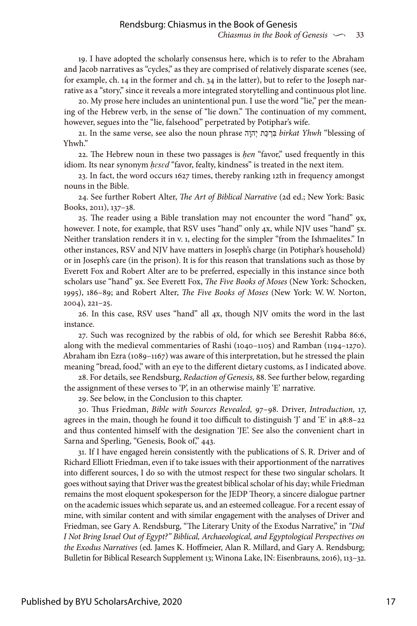19. I have adopted the scholarly consensus here, which is to refer to the Abraham and Jacob narratives as "cycles," as they are comprised of relatively disparate scenes (see, for example, ch. 14 in the former and ch. 34 in the latter), but to refer to the Joseph narrative as a "story," since it reveals a more integrated storytelling and continuous plot line.

20. My prose here includes an unintentional pun. I use the word "lie," per the meaning of the Hebrew verb, in the sense of "lie down." The continuation of my comment, however, segues into the "lie, falsehood" perpetrated by Potiphar's wife.

21. In the same verse, see also the noun phrase הָהוְי תַכּ ְרִבּ *birkat Yhwh* "blessing of Yhwh."

22. The Hebrew noun in these two passages is *ḥen* "favor," used frequently in this idiom. Its near synonym *ḥɛsɛd* "favor, fealty, kindness" is treated in the next item.

23. In fact, the word occurs 1627 times, thereby ranking 12th in frequency amongst nouns in the Bible.

24. See further Robert Alter, *The Art of Biblical Narrative* (2d ed.; New York: Basic Books, 2011), 137–38.

25. The reader using a Bible translation may not encounter the word "hand" 9x, however. I note, for example, that RSV uses "hand" only 4x, while NJV uses "hand" 5x. Neither translation renders it in v. 1, electing for the simpler "from the Ishmaelites." In other instances, RSV and NJV have matters in Joseph's charge (in Potiphar's household) or in Joseph's care (in the prison). It is for this reason that translations such as those by Everett Fox and Robert Alter are to be preferred, especially in this instance since both scholars use "hand" 9x. See Everett Fox, *The Five Books of Moses* (New York: Schocken, 1995), 186–89; and Robert Alter, *The Five Books of Moses* (New York: W. W. Norton, 2004), 221–25.

26. In this case, RSV uses "hand" all 4x, though NJV omits the word in the last instance.

27. Such was recognized by the rabbis of old, for which see Bereshit Rabba 86:6, along with the medieval commentaries of Rashi (1040–1105) and Ramban (1194–1270). Abraham ibn Ezra (1089–1167) was aware of this interpretation, but he stressed the plain meaning "bread, food," with an eye to the different dietary customs, as I indicated above.

28. For details, see Rendsburg, *Redaction of Genesis,* 88. See further below, regarding the assignment of these verses to 'P', in an otherwise mainly 'E' narrative.

29. See below, in the Conclusion to this chapter.

30. Thus Friedman, *Bible with Sources Revealed,* 97–98. Driver, *Introduction,* 17, agrees in the main, though he found it too difficult to distinguish 'J' and 'E' in 48:8–22 and thus contented himself with the designation 'JE'. See also the convenient chart in Sarna and Sperling, "Genesis, Book of," 443.

31. If I have engaged herein consistently with the publications of S. R. Driver and of Richard Elliott Friedman, even if to take issues with their apportionment of the narratives into different sources, I do so with the utmost respect for these two singular scholars. It goes without saying that Driver was the greatest biblical scholar of his day; while Friedman remains the most eloquent spokesperson for the JEDP Theory, a sincere dialogue partner on the academic issues which separate us, and an esteemed colleague. For a recent essay of mine, with similar content and with similar engagement with the analyses of Driver and Friedman, see Gary A. Rendsburg, "The Literary Unity of the Exodus Narrative," in *"Did I Not Bring Israel Out of Egypt?" Biblical, Archaeological, and Egyptological Perspectives on the Exodus Narratives* (ed. James K. Hoffmeier, Alan R. Millard, and Gary A. Rendsburg; Bulletin for Biblical Research Supplement 13; Winona Lake, IN: Eisenbrauns, 2016), 113–32.